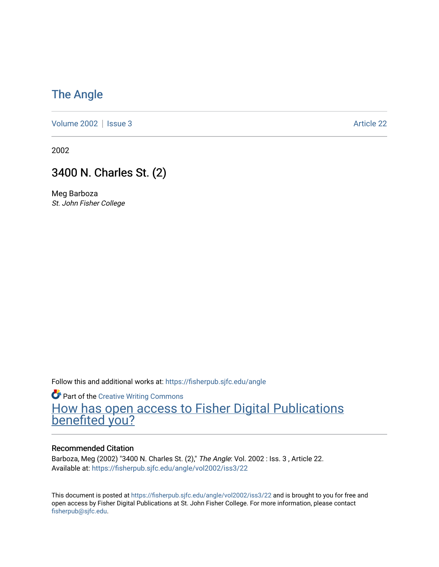### [The Angle](https://fisherpub.sjfc.edu/angle)

[Volume 2002](https://fisherpub.sjfc.edu/angle/vol2002) | [Issue 3](https://fisherpub.sjfc.edu/angle/vol2002/iss3) Article 22

2002

#### 3400 N. Charles St. (2)

Meg Barboza St. John Fisher College

Follow this and additional works at: [https://fisherpub.sjfc.edu/angle](https://fisherpub.sjfc.edu/angle?utm_source=fisherpub.sjfc.edu%2Fangle%2Fvol2002%2Fiss3%2F22&utm_medium=PDF&utm_campaign=PDFCoverPages)

**Part of the Creative Writing Commons** [How has open access to Fisher Digital Publications](https://docs.google.com/forms/d/14zrnDfH9d1wcdq8oG_-gFabAsxfcH5claltx85ZWyTg/viewform?entry.1394608989=https://fisherpub.sjfc.edu/angle/vol2002/iss3/22%3Chttps://docs.google.com/forms/d/14zrnDfH9d1wcdq8oG_-gFabAsxfcH5claltx85ZWyTg/viewform?entry.1394608989=%7bhttps://fisherpub.sjfc.edu/angle/vol2002/iss3/22%7d) [benefited you?](https://docs.google.com/forms/d/14zrnDfH9d1wcdq8oG_-gFabAsxfcH5claltx85ZWyTg/viewform?entry.1394608989=https://fisherpub.sjfc.edu/angle/vol2002/iss3/22%3Chttps://docs.google.com/forms/d/14zrnDfH9d1wcdq8oG_-gFabAsxfcH5claltx85ZWyTg/viewform?entry.1394608989=%7bhttps://fisherpub.sjfc.edu/angle/vol2002/iss3/22%7d)

#### Recommended Citation

Barboza, Meg (2002) "3400 N. Charles St. (2)," The Angle: Vol. 2002 : Iss. 3 , Article 22. Available at: [https://fisherpub.sjfc.edu/angle/vol2002/iss3/22](https://fisherpub.sjfc.edu/angle/vol2002/iss3/22?utm_source=fisherpub.sjfc.edu%2Fangle%2Fvol2002%2Fiss3%2F22&utm_medium=PDF&utm_campaign=PDFCoverPages) 

This document is posted at <https://fisherpub.sjfc.edu/angle/vol2002/iss3/22> and is brought to you for free and open access by Fisher Digital Publications at St. John Fisher College. For more information, please contact [fisherpub@sjfc.edu](mailto:fisherpub@sjfc.edu).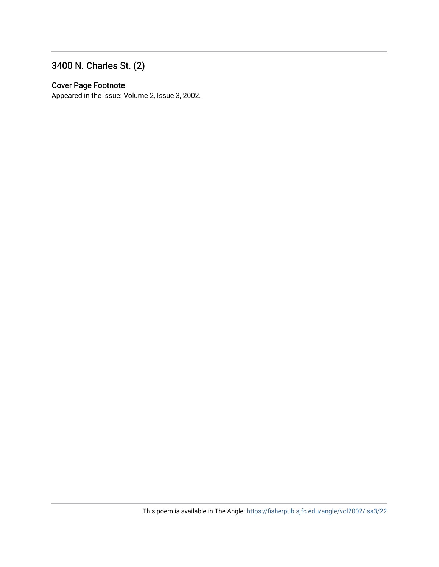### 3400 N. Charles St. (2)

#### Cover Page Footnote

Appeared in the issue: Volume 2, Issue 3, 2002.